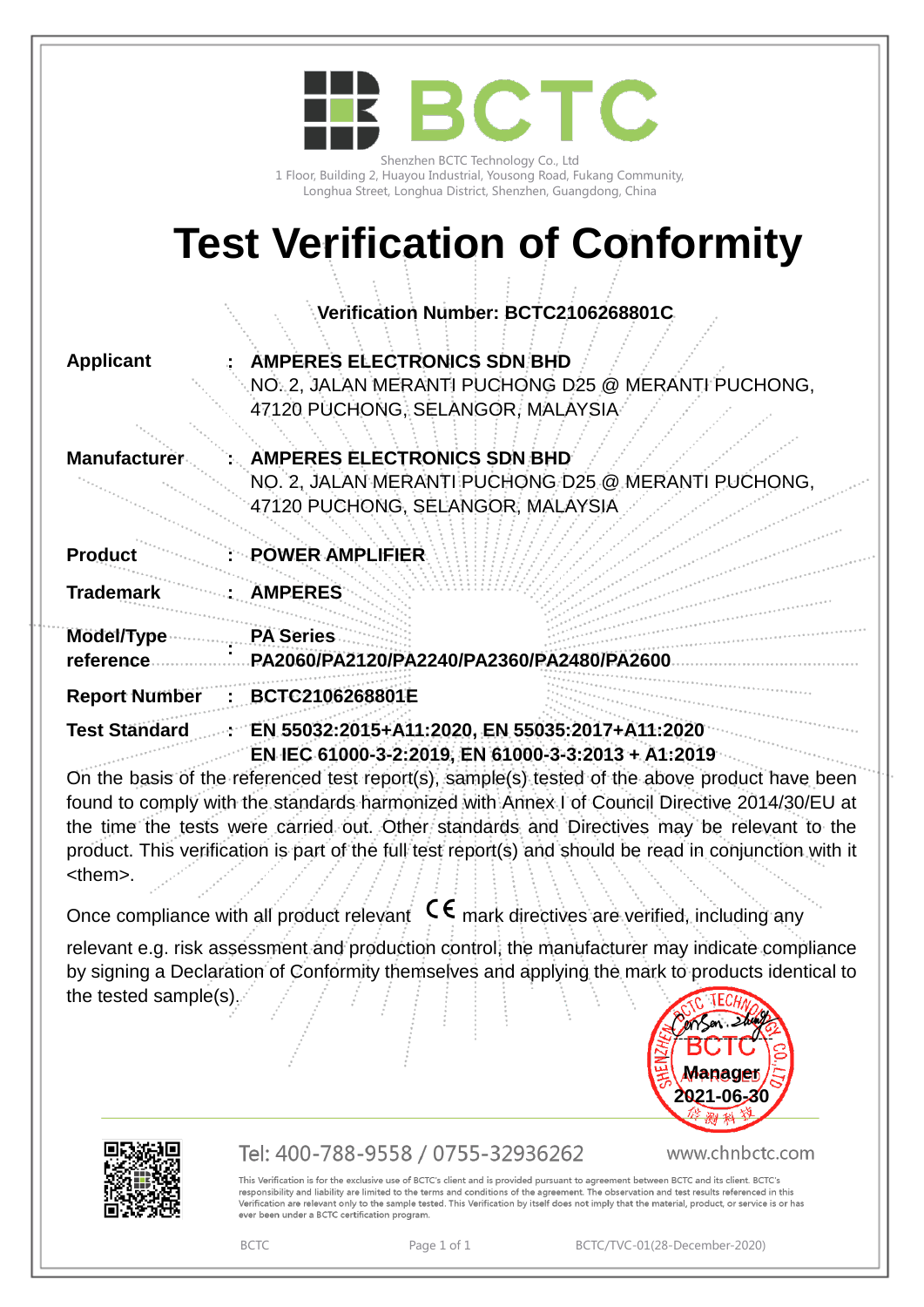|                      | <b>BCTC</b><br>Shenzhen BCTC Technology Co., Ltd<br>1 Floor, Building 2, Huayou Industrial, Yousong Road, Fukang Community,<br>Longhua Street, Longhua District, Shenzhen, Guangdong, China |
|----------------------|---------------------------------------------------------------------------------------------------------------------------------------------------------------------------------------------|
|                      | <b>Test Verification of Conformity</b>                                                                                                                                                      |
|                      | Verification Number: BCTC2106268801C                                                                                                                                                        |
| <b>Applicant</b>     | <b>AMPERES ELECTRONICS SDN BHD</b><br>NO. 2, JALAN MERANTI PUCHONG D25 @ MERANTI PUCHONG,<br>47120 PUCHONG, SELANGOR, MALAYSIA                                                              |
| Manufacture          | <b>AMPERES ELECTRONICS SDN BHD</b><br>NO. 2, JALAN MERANTI PUCHONG D25 @ MERANT<br><b>PUCHONG</b><br>47120 PUCHONG, SELANGOR, MALAYSIA                                                      |
| <b>Product</b>       | POWER AMPLIFIER                                                                                                                                                                             |
| <b>Trademark</b>     | <b>ÄMPERES</b>                                                                                                                                                                              |
| Model/Type           | <b>PA Series</b>                                                                                                                                                                            |
| reference            | PA2060/PA2120/PA2240/PA2360/PA2480/PA260                                                                                                                                                    |
| <b>Report Number</b> | BCTC2106268801E                                                                                                                                                                             |
| <b>Test Standard</b> | EN 55032:2015+A11:2020, EN 55035:2017+A11:2020<br>EN IEC 61000-3-2:2019, EN 61000-3-3:2013 + A1:2019                                                                                        |

On the basis of the referenced test report(s), sample(s) tested of the above product have been found to comply with the standards harmonized with Annex I of Council Directive 2014/30/EU at the time the tests were carried out. Other standards and Directives may be relevant to the product. This verification is part of the full test report(s) and should be read in conjunction with it <them>.

Once compliance with all product relevant  $\mathsf{C}\boldsymbol{\epsilon}$  mark directives are verified, including any

relevant e.g. risk assessment and production control, the manufacturer may indicate compliance by signing a Declaration of Conformity themselves and applying the mark to products identical to the tested sample(s).  $\ddot{\phantom{0}}$ 





## Tel: 400-788-9558 / 0755-32936262

www.chnbctc.com

This Verification is for the exclusive use of BCTC's client and is provided pursuant to agreement between BCTC and its client. BCTC's responsibility and liability are limited to the terms and conditions of the agreement. The observation and test results referenced in this<br>Verification are relevant only to the sample tested. This Verification by itself do ever been under a BCTC certification program.

BCTC Page 1 of 1 BCTC/TVC-01(28-December-2020)